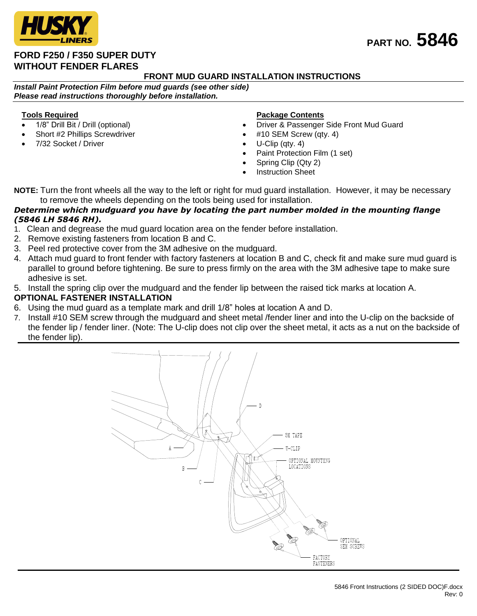

## **FORD F250 / F350 SUPER DUTY WITHOUT FENDER FLARES**

## **FRONT MUD GUARD INSTALLATION INSTRUCTIONS**

*Install Paint Protection Film before mud guards (see other side) Please read instructions thoroughly before installation.*

#### **Tools Required**

- 1/8" Drill Bit / Drill (optional)
- Short #2 Phillips Screwdriver
- 7/32 Socket / Driver

#### **Package Contents**

- Driver & Passenger Side Front Mud Guard
- #10 SEM Screw (qty. 4)
- U-Clip (qty. 4)
- Paint Protection Film (1 set)
- Spring Clip (Qty 2)
- Instruction Sheet

**NOTE:** Turn the front wheels all the way to the left or right for mud guard installation. However, it may be necessary to remove the wheels depending on the tools being used for installation.

#### *Determine which mudguard you have by locating the part number molded in the mounting flange (5846 LH 5846 RH).*

- 1. Clean and degrease the mud guard location area on the fender before installation.
- 2. Remove existing fasteners from location B and C.
- 3. Peel red protective cover from the 3M adhesive on the mudguard.
- 4. Attach mud guard to front fender with factory fasteners at location B and C, check fit and make sure mud guard is parallel to ground before tightening. Be sure to press firmly on the area with the 3M adhesive tape to make sure adhesive is set.
- 5. Install the spring clip over the mudguard and the fender lip between the raised tick marks at location A.

### **OPTIONAL FASTENER INSTALLATION**

- 6. Using the mud guard as a template mark and drill 1/8" holes at location A and D.
- 7. Install #10 SEM screw through the mudguard and sheet metal /fender liner and into the U-clip on the backside of the fender lip / fender liner. (Note: The U-clip does not clip over the sheet metal, it acts as a nut on the backside of the fender lip).



# **PART NO. 5846**